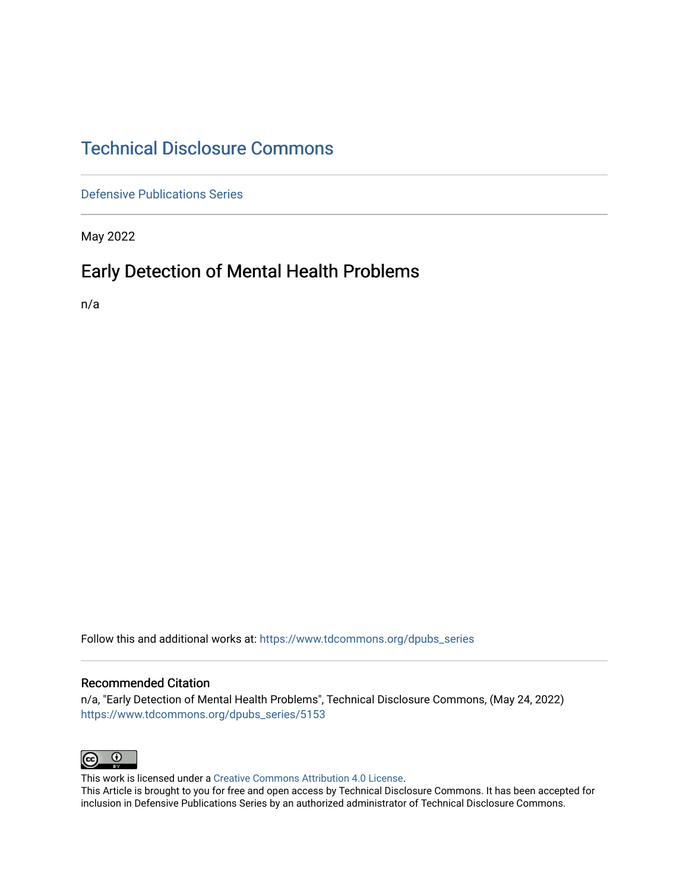# [Technical Disclosure Commons](https://www.tdcommons.org/)

[Defensive Publications Series](https://www.tdcommons.org/dpubs_series)

May 2022

# Early Detection of Mental Health Problems

n/a

Follow this and additional works at: [https://www.tdcommons.org/dpubs\\_series](https://www.tdcommons.org/dpubs_series?utm_source=www.tdcommons.org%2Fdpubs_series%2F5153&utm_medium=PDF&utm_campaign=PDFCoverPages) 

# Recommended Citation

n/a, "Early Detection of Mental Health Problems", Technical Disclosure Commons, (May 24, 2022) [https://www.tdcommons.org/dpubs\\_series/5153](https://www.tdcommons.org/dpubs_series/5153?utm_source=www.tdcommons.org%2Fdpubs_series%2F5153&utm_medium=PDF&utm_campaign=PDFCoverPages)



This work is licensed under a [Creative Commons Attribution 4.0 License](http://creativecommons.org/licenses/by/4.0/deed.en_US).

This Article is brought to you for free and open access by Technical Disclosure Commons. It has been accepted for inclusion in Defensive Publications Series by an authorized administrator of Technical Disclosure Commons.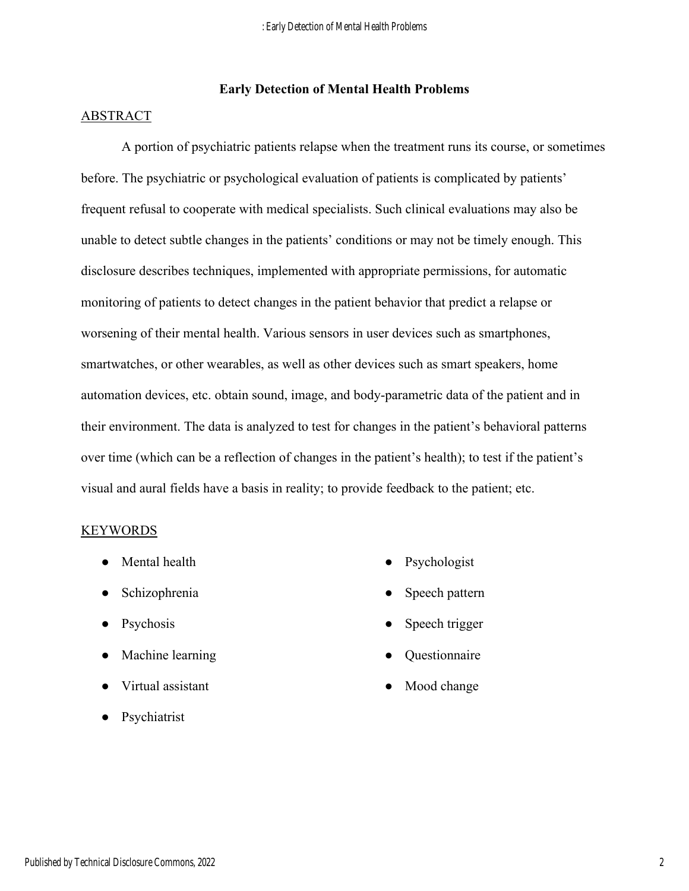# **Early Detection of Mental Health Problems**

## ABSTRACT

 A portion of psychiatric patients relapse when the treatment runs its course, or sometimes before. The psychiatric or psychological evaluation of patients is complicated by patients' frequent refusal to cooperate with medical specialists. Such clinical evaluations may also be unable to detect subtle changes in the patients' conditions or may not be timely enough. This disclosure describes techniques, implemented with appropriate permissions, for automatic monitoring of patients to detect changes in the patient behavior that predict a relapse or worsening of their mental health. Various sensors in user devices such as smartphones, smartwatches, or other wearables, as well as other devices such as smart speakers, home automation devices, etc. obtain sound, image, and body-parametric data of the patient and in their environment. The data is analyzed to test for changes in the patient's behavioral patterns over time (which can be a reflection of changes in the patient's health); to test if the patient's visual and aural fields have a basis in reality; to provide feedback to the patient; etc.

#### KEYWORDS

- Mental health
- Schizophrenia
- Psychosis
- Machine learning
- Virtual assistant
- Psychiatrist
- Psychologist
- Speech pattern
- Speech trigger
- Questionnaire
- Mood change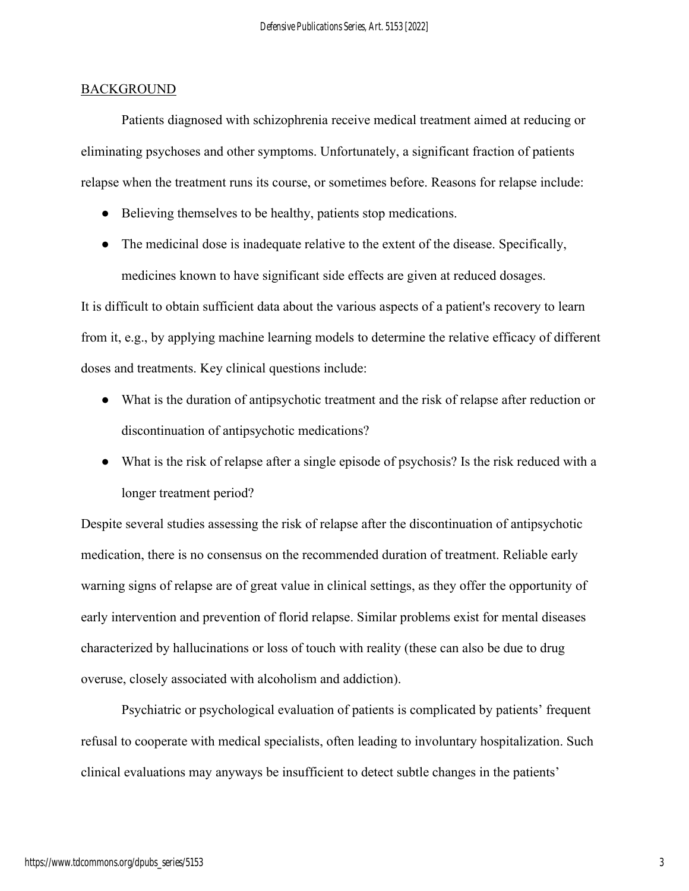#### **BACKGROUND**

 Patients diagnosed with schizophrenia receive medical treatment aimed at reducing or eliminating psychoses and other symptoms. Unfortunately, a significant fraction of patients relapse when the treatment runs its course, or sometimes before. Reasons for relapse include:

- Believing themselves to be healthy, patients stop medications.
- The medicinal dose is inadequate relative to the extent of the disease. Specifically, medicines known to have significant side effects are given at reduced dosages.

It is difficult to obtain sufficient data about the various aspects of a patient's recovery to learn from it, e.g., by applying machine learning models to determine the relative efficacy of different doses and treatments. Key clinical questions include:

- What is the duration of antipsychotic treatment and the risk of relapse after reduction or discontinuation of antipsychotic medications?
- What is the risk of relapse after a single episode of psychosis? Is the risk reduced with a longer treatment period?

Despite several studies assessing the risk of relapse after the discontinuation of antipsychotic medication, there is no consensus on the recommended duration of treatment. Reliable early warning signs of relapse are of great value in clinical settings, as they offer the opportunity of early intervention and prevention of florid relapse. Similar problems exist for mental diseases characterized by hallucinations or loss of touch with reality (these can also be due to drug overuse, closely associated with alcoholism and addiction).

 Psychiatric or psychological evaluation of patients is complicated by patients' frequent refusal to cooperate with medical specialists, often leading to involuntary hospitalization. Such clinical evaluations may anyways be insufficient to detect subtle changes in the patients'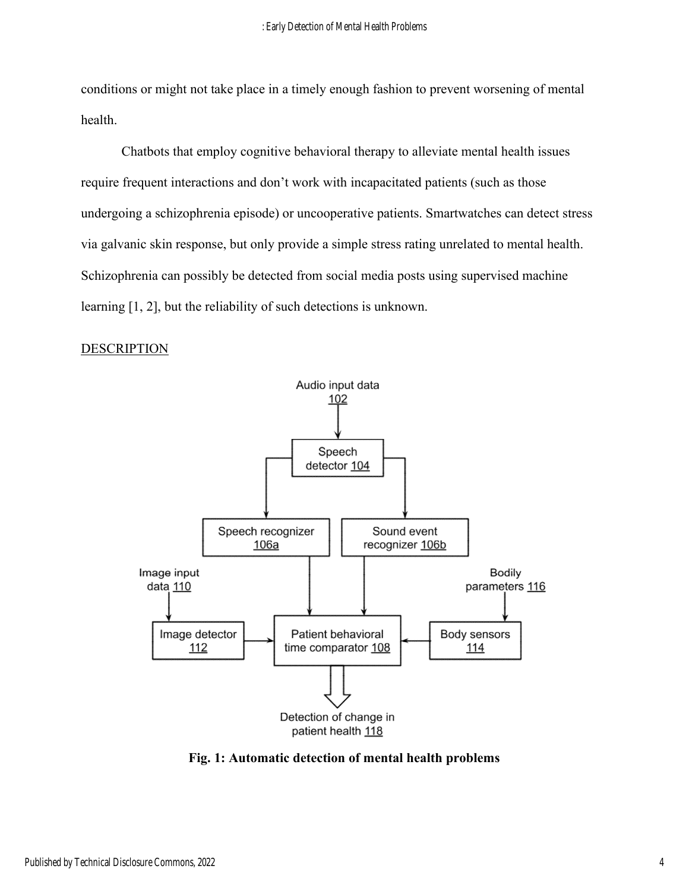conditions or might not take place in a timely enough fashion to prevent worsening of mental health.

 Chatbots that employ cognitive behavioral therapy to alleviate mental health issues require frequent interactions and don't work with incapacitated patients (such as those undergoing a schizophrenia episode) or uncooperative patients. Smartwatches can detect stress via galvanic skin response, but only provide a simple stress rating unrelated to mental health. Schizophrenia can possibly be detected from social media posts using supervised machine learning [1, 2], but the reliability of such detections is unknown.

### **DESCRIPTION**



**Fig. 1: Automatic detection of mental health problems**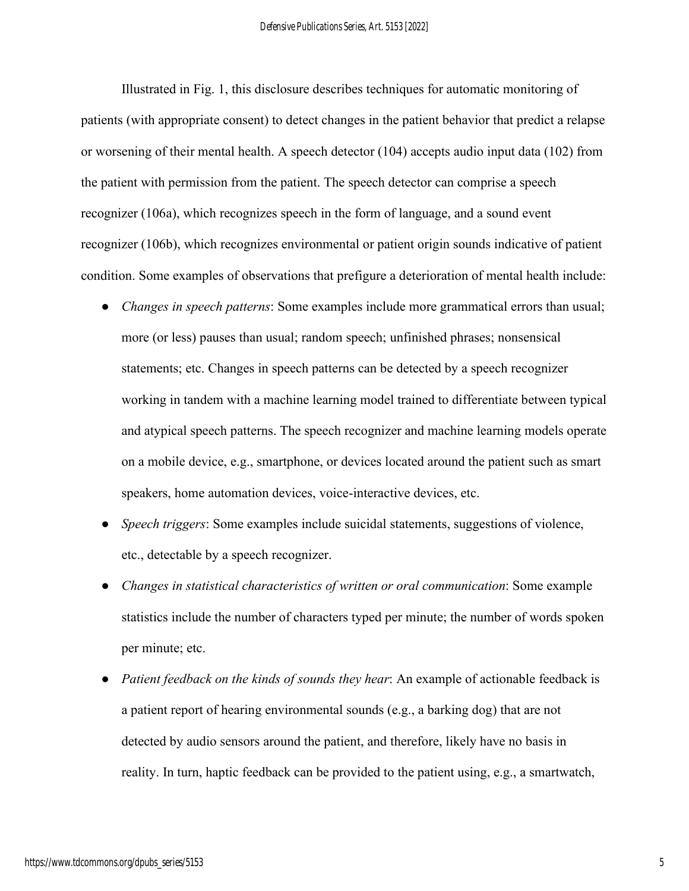Illustrated in Fig. 1, this disclosure describes techniques for automatic monitoring of patients (with appropriate consent) to detect changes in the patient behavior that predict a relapse or worsening of their mental health. A speech detector (104) accepts audio input data (102) from the patient with permission from the patient. The speech detector can comprise a speech recognizer (106a), which recognizes speech in the form of language, and a sound event recognizer (106b), which recognizes environmental or patient origin sounds indicative of patient condition. Some examples of observations that prefigure a deterioration of mental health include:

- *Changes in speech patterns*: Some examples include more grammatical errors than usual; more (or less) pauses than usual; random speech; unfinished phrases; nonsensical statements; etc. Changes in speech patterns can be detected by a speech recognizer working in tandem with a machine learning model trained to differentiate between typical and atypical speech patterns. The speech recognizer and machine learning models operate on a mobile device, e.g., smartphone, or devices located around the patient such as smart speakers, home automation devices, voice-interactive devices, etc.
- *Speech triggers*: Some examples include suicidal statements, suggestions of violence, etc., detectable by a speech recognizer.
- *Changes in statistical characteristics of written or oral communication*: Some example statistics include the number of characters typed per minute; the number of words spoken per minute; etc.
- *Patient feedback on the kinds of sounds they hear*: An example of actionable feedback is a patient report of hearing environmental sounds (e.g., a barking dog) that are not detected by audio sensors around the patient, and therefore, likely have no basis in reality. In turn, haptic feedback can be provided to the patient using, e.g., a smartwatch,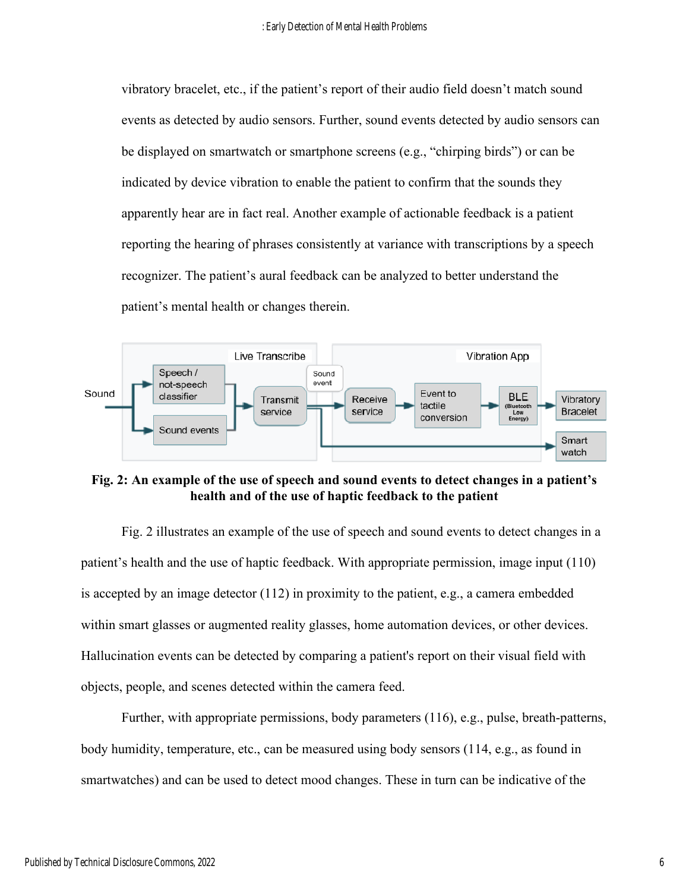vibratory bracelet, etc., if the patient's report of their audio field doesn't match sound events as detected by audio sensors. Further, sound events detected by audio sensors can be displayed on smartwatch or smartphone screens (e.g., "chirping birds") or can be indicated by device vibration to enable the patient to confirm that the sounds they apparently hear are in fact real. Another example of actionable feedback is a patient reporting the hearing of phrases consistently at variance with transcriptions by a speech recognizer. The patient's aural feedback can be analyzed to better understand the patient's mental health or changes therein.



**Fig. 2: An example of the use of speech and sound events to detect changes in a patient's health and of the use of haptic feedback to the patient** 

 Fig. 2 illustrates an example of the use of speech and sound events to detect changes in a patient's health and the use of haptic feedback. With appropriate permission, image input (110) is accepted by an image detector (112) in proximity to the patient, e.g., a camera embedded within smart glasses or augmented reality glasses, home automation devices, or other devices. Hallucination events can be detected by comparing a patient's report on their visual field with objects, people, and scenes detected within the camera feed.

 Further, with appropriate permissions, body parameters (116), e.g., pulse, breath-patterns, body humidity, temperature, etc., can be measured using body sensors (114, e.g., as found in smartwatches) and can be used to detect mood changes. These in turn can be indicative of the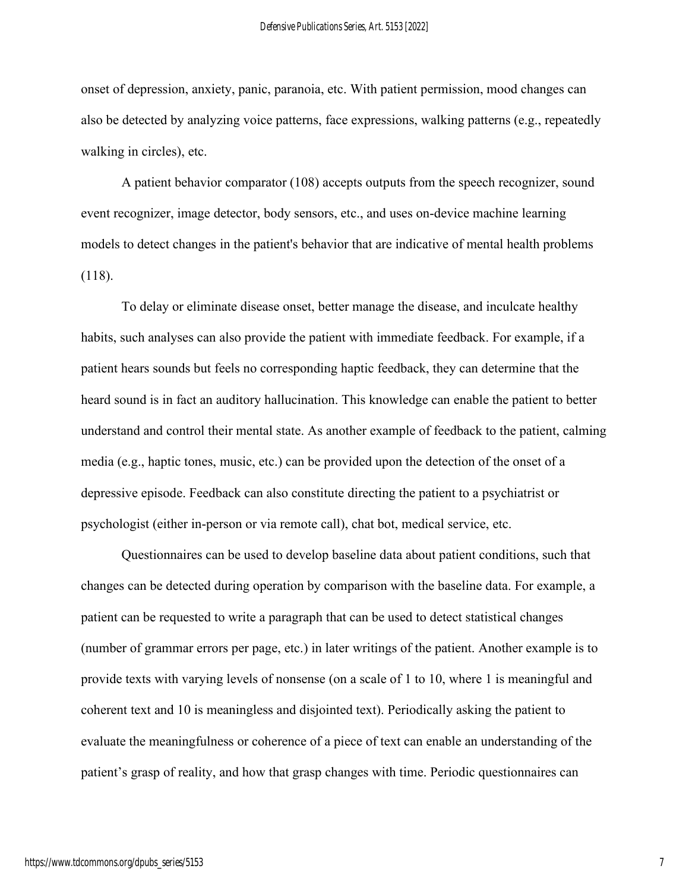onset of depression, anxiety, panic, paranoia, etc. With patient permission, mood changes can also be detected by analyzing voice patterns, face expressions, walking patterns (e.g., repeatedly walking in circles), etc.

 A patient behavior comparator (108) accepts outputs from the speech recognizer, sound event recognizer, image detector, body sensors, etc., and uses on-device machine learning models to detect changes in the patient's behavior that are indicative of mental health problems (118).

To delay or eliminate disease onset, better manage the disease, and inculcate healthy habits, such analyses can also provide the patient with immediate feedback. For example, if a patient hears sounds but feels no corresponding haptic feedback, they can determine that the heard sound is in fact an auditory hallucination. This knowledge can enable the patient to better understand and control their mental state. As another example of feedback to the patient, calming media (e.g., haptic tones, music, etc.) can be provided upon the detection of the onset of a depressive episode. Feedback can also constitute directing the patient to a psychiatrist or psychologist (either in-person or via remote call), chat bot, medical service, etc.

Questionnaires can be used to develop baseline data about patient conditions, such that changes can be detected during operation by comparison with the baseline data. For example, a patient can be requested to write a paragraph that can be used to detect statistical changes (number of grammar errors per page, etc.) in later writings of the patient. Another example is to provide texts with varying levels of nonsense (on a scale of 1 to 10, where 1 is meaningful and coherent text and 10 is meaningless and disjointed text). Periodically asking the patient to evaluate the meaningfulness or coherence of a piece of text can enable an understanding of the patient's grasp of reality, and how that grasp changes with time. Periodic questionnaires can

7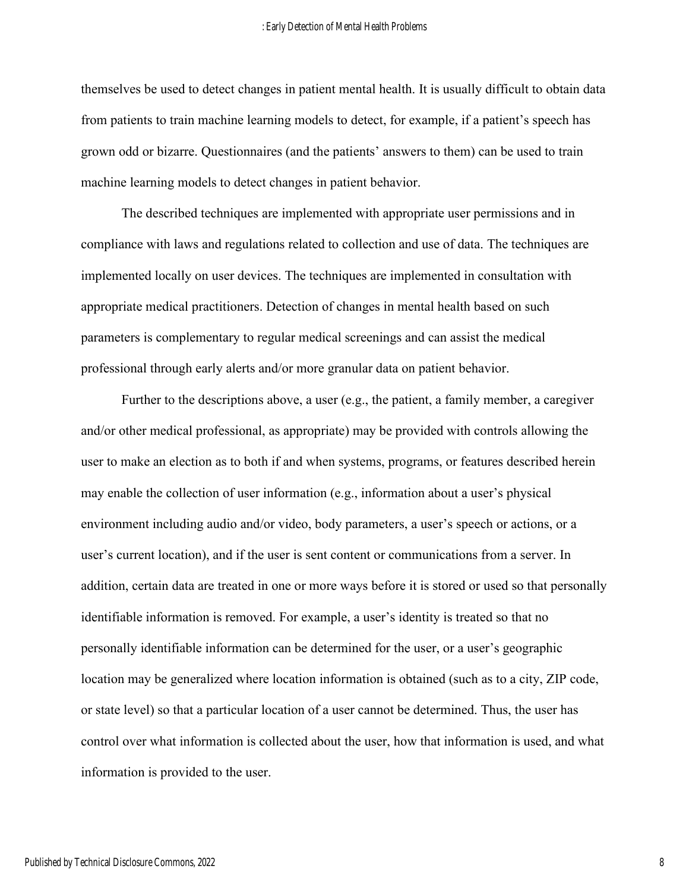themselves be used to detect changes in patient mental health. It is usually difficult to obtain data from patients to train machine learning models to detect, for example, if a patient's speech has grown odd or bizarre. Questionnaires (and the patients' answers to them) can be used to train machine learning models to detect changes in patient behavior.

The described techniques are implemented with appropriate user permissions and in compliance with laws and regulations related to collection and use of data. The techniques are implemented locally on user devices. The techniques are implemented in consultation with appropriate medical practitioners. Detection of changes in mental health based on such parameters is complementary to regular medical screenings and can assist the medical professional through early alerts and/or more granular data on patient behavior.

Further to the descriptions above, a user (e.g., the patient, a family member, a caregiver and/or other medical professional, as appropriate) may be provided with controls allowing the user to make an election as to both if and when systems, programs, or features described herein may enable the collection of user information (e.g., information about a user's physical environment including audio and/or video, body parameters, a user's speech or actions, or a user's current location), and if the user is sent content or communications from a server. In addition, certain data are treated in one or more ways before it is stored or used so that personally identifiable information is removed. For example, a user's identity is treated so that no personally identifiable information can be determined for the user, or a user's geographic location may be generalized where location information is obtained (such as to a city, ZIP code, or state level) so that a particular location of a user cannot be determined. Thus, the user has control over what information is collected about the user, how that information is used, and what information is provided to the user.

8